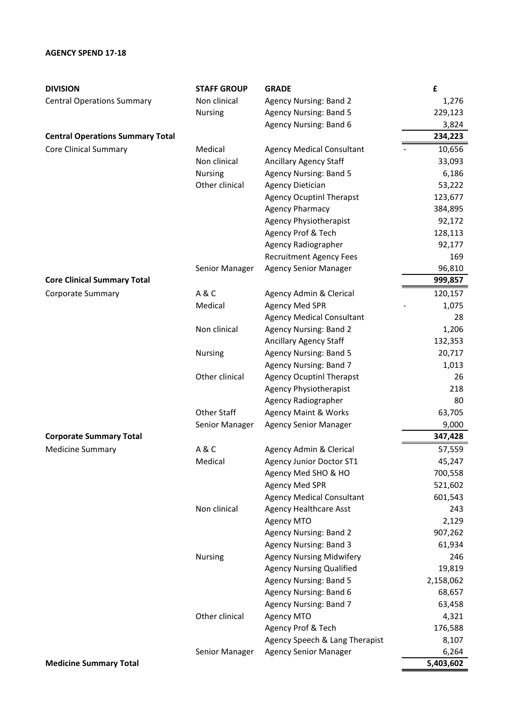## **AGENCY SPEND 17-18**

| <b>DIVISION</b>                         | <b>STAFF GROUP</b> | <b>GRADE</b>                     | £         |
|-----------------------------------------|--------------------|----------------------------------|-----------|
| <b>Central Operations Summary</b>       | Non clinical       | <b>Agency Nursing: Band 2</b>    | 1,276     |
|                                         | <b>Nursing</b>     | <b>Agency Nursing: Band 5</b>    | 229,123   |
|                                         |                    | Agency Nursing: Band 6           | 3,824     |
| <b>Central Operations Summary Total</b> |                    |                                  | 234,223   |
| <b>Core Clinical Summary</b>            | Medical            | <b>Agency Medical Consultant</b> | 10,656    |
|                                         | Non clinical       | Ancillary Agency Staff           | 33,093    |
|                                         | <b>Nursing</b>     | <b>Agency Nursing: Band 5</b>    | 6,186     |
|                                         | Other clinical     | <b>Agency Dietician</b>          | 53,222    |
|                                         |                    | <b>Agency Ocuptinl Therapst</b>  | 123,677   |
|                                         |                    | <b>Agency Pharmacy</b>           | 384,895   |
|                                         |                    | <b>Agency Physiotherapist</b>    | 92,172    |
|                                         |                    | Agency Prof & Tech               | 128,113   |
|                                         |                    | Agency Radiographer              | 92,177    |
|                                         |                    | <b>Recruitment Agency Fees</b>   | 169       |
|                                         | Senior Manager     | <b>Agency Senior Manager</b>     | 96,810    |
| <b>Core Clinical Summary Total</b>      |                    |                                  | 999,857   |
| <b>Corporate Summary</b>                | A&C                | Agency Admin & Clerical          | 120,157   |
|                                         | Medical            | <b>Agency Med SPR</b>            | 1,075     |
|                                         |                    | <b>Agency Medical Consultant</b> | 28        |
|                                         | Non clinical       | <b>Agency Nursing: Band 2</b>    | 1,206     |
|                                         |                    | Ancillary Agency Staff           | 132,353   |
|                                         | Nursing            | <b>Agency Nursing: Band 5</b>    | 20,717    |
|                                         |                    | Agency Nursing: Band 7           | 1,013     |
|                                         | Other clinical     | <b>Agency Ocuptinl Therapst</b>  | 26        |
|                                         |                    | <b>Agency Physiotherapist</b>    | 218       |
|                                         |                    | Agency Radiographer              | 80        |
|                                         | <b>Other Staff</b> | <b>Agency Maint &amp; Works</b>  | 63,705    |
|                                         | Senior Manager     | <b>Agency Senior Manager</b>     | 9,000     |
| <b>Corporate Summary Total</b>          |                    |                                  | 347,428   |
| <b>Medicine Summary</b>                 | <b>A&amp;C</b>     | Agency Admin & Clerical          | 57,559    |
|                                         | Medical            | <b>Agency Junior Doctor ST1</b>  | 45,247    |
|                                         |                    | Agency Med SHO & HO              | 700,558   |
|                                         |                    | Agency Med SPR                   | 521,602   |
|                                         |                    | <b>Agency Medical Consultant</b> | 601,543   |
|                                         | Non clinical       | <b>Agency Healthcare Asst</b>    | 243       |
|                                         |                    | Agency MTO                       | 2,129     |
|                                         |                    | <b>Agency Nursing: Band 2</b>    | 907,262   |
|                                         |                    | Agency Nursing: Band 3           | 61,934    |
|                                         | <b>Nursing</b>     | <b>Agency Nursing Midwifery</b>  | 246       |
|                                         |                    | <b>Agency Nursing Qualified</b>  | 19,819    |
|                                         |                    | <b>Agency Nursing: Band 5</b>    | 2,158,062 |
|                                         |                    | Agency Nursing: Band 6           | 68,657    |
|                                         |                    | Agency Nursing: Band 7           | 63,458    |
|                                         | Other clinical     | <b>Agency MTO</b>                | 4,321     |
|                                         |                    | Agency Prof & Tech               | 176,588   |
|                                         |                    | Agency Speech & Lang Therapist   | 8,107     |
|                                         | Senior Manager     | <b>Agency Senior Manager</b>     | 6,264     |
| <b>Medicine Summary Total</b>           |                    |                                  | 5,403,602 |